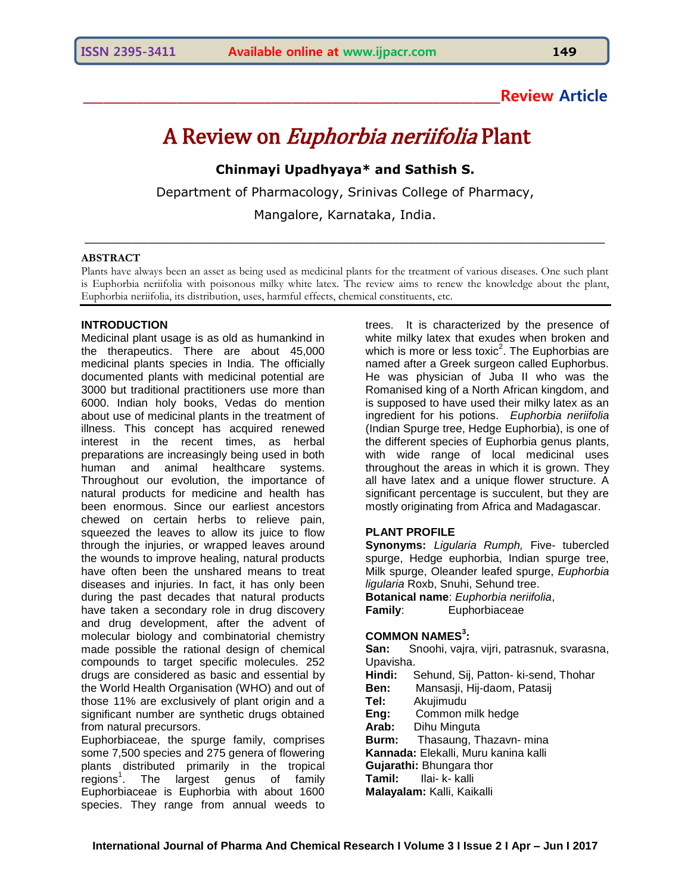# **\_\_\_\_\_\_\_\_\_\_\_\_\_\_\_\_\_\_\_\_\_\_\_\_\_\_\_\_\_\_\_\_\_\_\_\_\_\_\_\_\_\_\_\_\_\_\_\_\_\_\_\_\_\_\_\_\_\_\_\_\_\_Review Article**

# A Review on Euphorbia neriifolia Plant

**Chinmayi Upadhyaya\* and Sathish S.**

Department of Pharmacology, Srinivas College of Pharmacy,

Mangalore, Karnataka, India.

\_\_\_\_\_\_\_\_\_\_\_\_\_\_\_\_\_\_\_\_\_\_\_\_\_\_\_\_\_\_\_\_\_\_\_\_\_\_\_\_\_\_\_\_\_\_\_\_\_\_\_\_\_\_\_\_\_\_\_\_\_\_\_\_\_\_

#### **ABSTRACT**

Plants have always been an asset as being used as medicinal plants for the treatment of various diseases. One such plant is Euphorbia neriifolia with poisonous milky white latex. The review aims to renew the knowledge about the plant, Euphorbia neriifolia, its distribution, uses, harmful effects, chemical constituents, etc.

# **INTRODUCTION**

Medicinal plant usage is as old as humankind in the therapeutics. There are about 45,000 medicinal plants species in India. The officially documented plants with medicinal potential are 3000 but traditional practitioners use more than 6000. Indian holy books, Vedas do mention about use of medicinal plants in the treatment of illness. This concept has acquired renewed interest in the recent times, as herbal preparations are increasingly being used in both human and animal healthcare systems. Throughout our evolution, the importance of natural products for medicine and health has been enormous. Since our earliest ancestors chewed on certain herbs to relieve pain, squeezed the leaves to allow its juice to flow through the injuries, or wrapped leaves around the wounds to improve healing, natural products have often been the unshared means to treat diseases and injuries. In fact, it has only been during the past decades that natural products have taken a secondary role in drug discovery and drug development, after the advent of molecular biology and combinatorial chemistry made possible the rational design of chemical compounds to target specific molecules. 252 drugs are considered as basic and essential by the World Health Organisation (WHO) and out of those 11% are exclusively of plant origin and a significant number are synthetic drugs obtained from natural precursors.

Euphorbiaceae, the spurge family, comprises some 7,500 species and 275 genera of flowering plants distributed primarily in the tropical e regions<sup>1</sup>. The largest genus of family Euphorbiaceae is Euphorbia with about 1600 species. They range from annual weeds to

trees. It is characterized by the presence of white milky latex that exudes when broken and which is more or less toxic<sup>2</sup>. The Euphorbias are named after a Greek surgeon called Euphorbus. He was physician of Juba II who was the Romanised king of a North African kingdom, and is supposed to have used their milky latex as an ingredient for his potions. *Euphorbia neriifolia* (Indian Spurge tree, Hedge Euphorbia), is one of the different species of Euphorbia genus plants, with wide range of local medicinal uses throughout the areas in which it is grown. They all have latex and a unique flower structure. A significant percentage is succulent, but they are mostly originating from Africa and Madagascar.

#### **PLANT PROFILE**

**Synonyms:** *Ligularia Rumph,* Five- tubercled spurge, Hedge euphorbia, Indian spurge tree, Milk spurge, Oleander leafed spurge, *Euphorbia ligularia* Roxb, Snuhi, Sehund tree. **Botanical name**: *Euphorbia neriifolia*, **Family:** Euphorbiaceae

# **COMMON NAMES<sup>3</sup> :**

**San:** Snoohi, vajra, vijri, patrasnuk, svarasna, Upavisha. **Hindi:** Sehund, Sij, Patton- ki-send, Thohar **Ben:** Mansasji, Hij-daom, Patasij **Tel:** Akujimudu **Eng:** Common milk hedge **Arab:** Dihu Minguta **Burm:** Thasaung, Thazavn- mina **Kannada:** Elekalli, Muru kanina kalli **Gujarathi:** Bhungara thor **Tamil:** Ilai- k- kalli **Malayalam:** Kalli, Kaikalli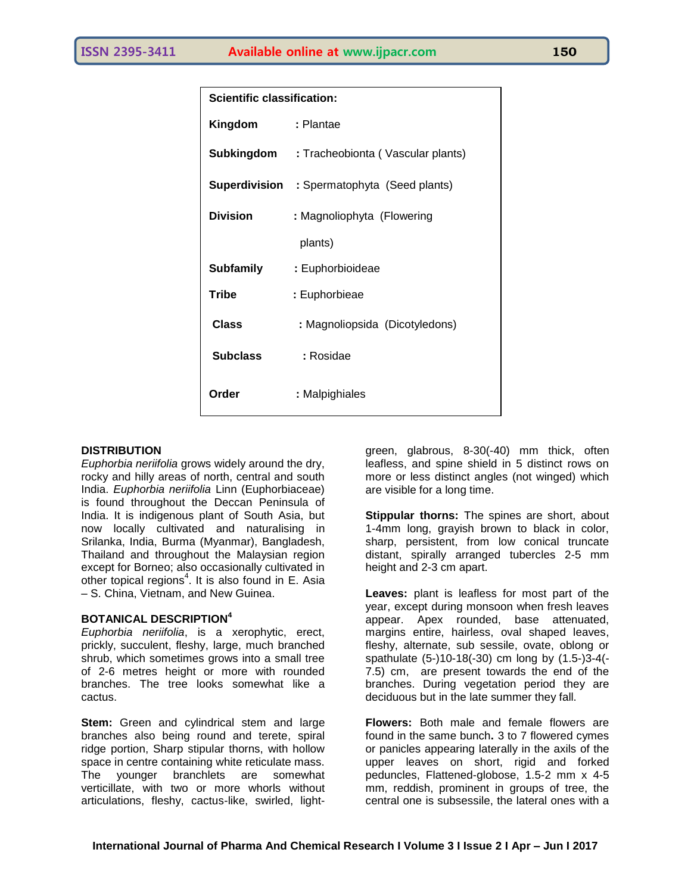| <b>Scientific classification:</b> |                                                     |
|-----------------------------------|-----------------------------------------------------|
| Kingdom                           | : Plantae                                           |
|                                   | <b>Subkingdom</b> : Tracheobionta (Vascular plants) |
|                                   | <b>Superdivision</b> : Spermatophyta (Seed plants)  |
| <b>Division</b>                   | : Magnoliophyta (Flowering                          |
|                                   | plants)                                             |
| Subfamily                         | : Euphorbioideae                                    |
| <b>Tribe</b>                      | : Euphorbieae                                       |
| Class                             | : Magnoliopsida (Dicotyledons)                      |
| <b>Subclass</b>                   | : Rosidae                                           |
| Order                             | : Malpighiales                                      |

#### **DISTRIBUTION**

*Euphorbia neriifolia* grows widely around the dry, rocky and hilly areas of north, central and south India. *Euphorbia neriifolia* Linn (Euphorbiaceae) is found throughout the Deccan Peninsula of India. It is indigenous plant of South Asia, but now locally cultivated and naturalising in Srilanka, India, Burma (Myanmar), Bangladesh, Thailand and throughout the Malaysian region except for Borneo; also occasionally cultivated in other topical regions<sup>4</sup>. It is also found in E. Asia – S. China, Vietnam, and New Guinea.

#### **BOTANICAL DESCRIPTION<sup>4</sup>**

*Euphorbia neriifolia*, is a xerophytic, erect, prickly, succulent, fleshy, large, much branched shrub, which sometimes grows into a small tree of 2-6 metres height or more with rounded branches. The tree looks somewhat like a cactus.

**Stem:** Green and cylindrical stem and large branches also being round and terete, spiral ridge portion, Sharp stipular thorns, with hollow space in centre containing white reticulate mass. The younger branchlets are somewhat verticillate, with two or more whorls without articulations, fleshy, cactus-like, swirled, lightgreen, glabrous, 8-30(-40) mm thick, often leafless, and spine shield in 5 distinct rows on more or less distinct angles (not winged) which are visible for a long time.

**Stippular thorns:** The spines are short, about 1-4mm long, grayish brown to black in color, sharp, persistent, from low conical truncate distant, spirally arranged tubercles 2-5 mm height and 2-3 cm apart.

**Leaves:** plant is leafless for most part of the year, except during monsoon when fresh leaves appear. Apex rounded, base attenuated, margins entire, hairless, oval shaped leaves, fleshy, alternate, sub sessile, ovate, oblong or spathulate (5-)10-18(-30) cm long by (1.5-)3-4(- 7.5) cm, are present towards the end of the branches. During vegetation period they are deciduous but in the late summer they fall.

**Flowers:** Both male and female flowers are found in the same bunch**.** 3 to 7 flowered cymes or panicles appearing laterally in the axils of the upper leaves on short, rigid and forked peduncles, Flattened-globose, 1.5-2 mm x 4-5 mm, reddish, prominent in groups of tree, the central one is subsessile, the lateral ones with a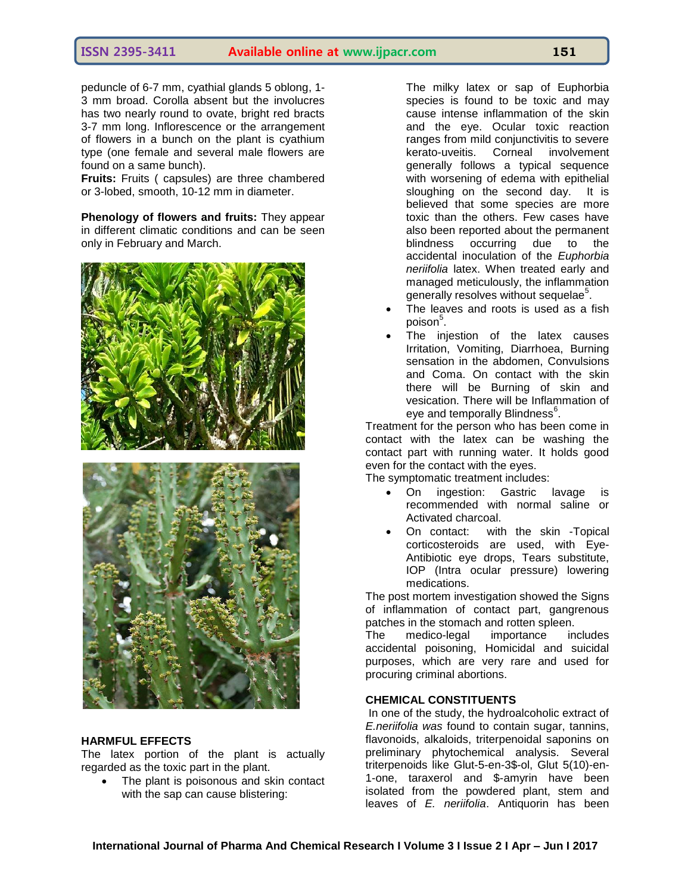peduncle of 6-7 mm, cyathial glands 5 oblong, 1- 3 mm broad. Corolla absent but the involucres has two nearly round to ovate, bright red bracts 3-7 mm long. Inflorescence or the arrangement of flowers in a bunch on the plant is cyathium type (one female and several male flowers are found on a same bunch).

**Fruits:** Fruits ( capsules) are three chambered or 3-lobed, smooth, 10-12 mm in diameter.

**Phenology of flowers and fruits:** They appear in different climatic conditions and can be seen only in February and March.





#### **HARMFUL EFFECTS**

The latex portion of the plant is actually regarded as the toxic part in the plant.

 The plant is poisonous and skin contact with the sap can cause blistering:

The milky latex or sap of Euphorbia species is found to be toxic and may cause intense inflammation of the skin and the eye. Ocular toxic reaction ranges from mild conjunctivitis to severe kerato-uveitis. Corneal involvement generally follows a typical sequence with worsening of edema with epithelial sloughing on the second day. It is believed that some species are more toxic than the others. Few cases have also been reported about the permanent blindness occurring due to the accidental inoculation of the *Euphorbia neriifolia* latex. When treated early and managed meticulously, the inflammation generally resolves without sequelae<sup>5</sup>.

- The leaves and roots is used as a fish poison $^5$ .
- The injestion of the latex causes Irritation, Vomiting, Diarrhoea, Burning sensation in the abdomen, Convulsions and Coma. On contact with the skin there will be Burning of skin and vesication. There will be Inflammation of eye and temporally Blindness $^6$ .

Treatment for the person who has been come in contact with the latex can be washing the contact part with running water. It holds good even for the contact with the eyes.

The symptomatic treatment includes:

- On ingestion: Gastric lavage is recommended with normal saline or Activated charcoal.
- On contact: with the skin -Topical corticosteroids are used, with Eye-Antibiotic eye drops, Tears substitute, IOP (Intra ocular pressure) lowering medications.

The post mortem investigation showed the Signs of inflammation of contact part, gangrenous patches in the stomach and rotten spleen.

The medico-legal importance includes accidental poisoning, Homicidal and suicidal purposes, which are very rare and used for procuring criminal abortions.

#### **CHEMICAL CONSTITUENTS**

In one of the study, the hydroalcoholic extract of *E.neriifolia was* found to contain sugar, tannins, flavonoids, alkaloids, triterpenoidal saponins on preliminary phytochemical analysis. Several triterpenoids like Glut-5-en-3\$-ol, Glut 5(10)-en-1-one, taraxerol and \$-amyrin have been isolated from the powdered plant, stem and leaves of *E. neriifolia*. Antiquorin has been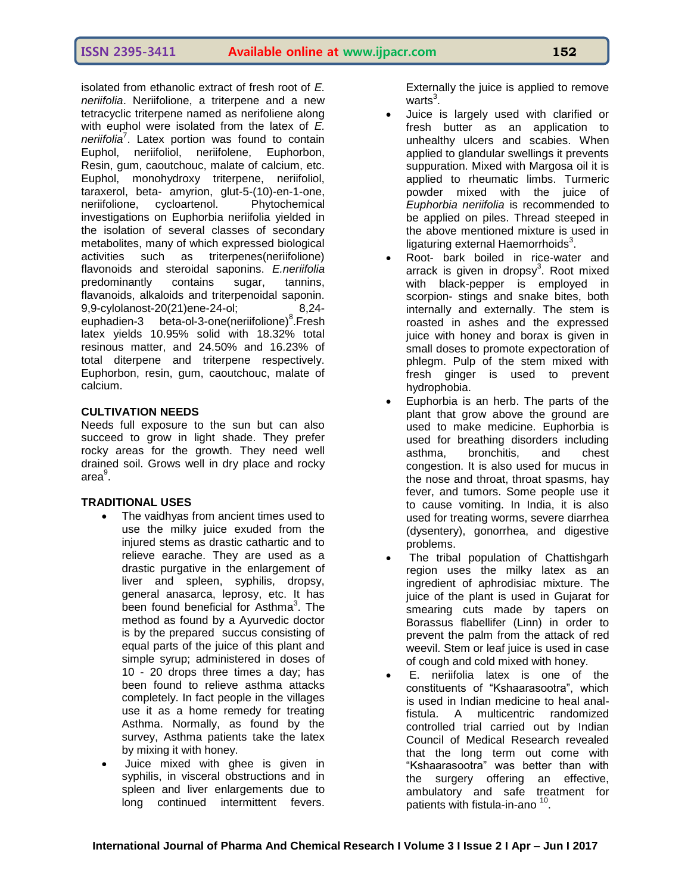isolated from ethanolic extract of fresh root of *E. neriifolia*. Neriifolione, a triterpene and a new tetracyclic triterpene named as nerifoliene along with euphol were isolated from the latex of *E. neriifolia*<sup>7</sup> . Latex portion was found to contain Euphol, neriifoliol, neriifolene, Euphorbon, Resin, gum, caoutchouc, malate of calcium, etc. Euphol, monohydroxy triterpene, neriifoliol, taraxerol, beta- amyrion, glut-5-(10)-en-1-one, neriifolione, cycloartenol. Phytochemical investigations on Euphorbia neriifolia yielded in the isolation of several classes of secondary metabolites, many of which expressed biological activities such as triterpenes(neriifolione) flavonoids and steroidal saponins. *E.neriifolia* predominantly contains sugar, tannins, flavanoids, alkaloids and triterpenoidal saponin. 9,9-cylolanost-20(21)ene-24-ol; 8,24 euphadien-3 beta-ol-3-one(neriifolione)<sup>8</sup>. Fresh latex yields 10.95% solid with 18.32% total resinous matter, and 24.50% and 16.23% of total diterpene and triterpene respectively. Euphorbon, resin, gum, caoutchouc, malate of calcium.

# **CULTIVATION NEEDS**

Needs full exposure to the sun but can also succeed to grow in light shade. They prefer rocky areas for the growth. They need well drained soil. Grows well in dry place and rocky area<sup>9</sup>.

# **TRADITIONAL USES**

- The vaidhyas from ancient times used to use the milky juice exuded from the injured stems as drastic cathartic and to relieve earache. They are used as a drastic purgative in the enlargement of liver and spleen, syphilis, dropsy, general anasarca, leprosy, etc. It has been found beneficial for Asthma<sup>3</sup>. The method as found by a Ayurvedic doctor is by the prepared succus consisting of equal parts of the juice of this plant and simple syrup; administered in doses of 10 - 20 drops three times a day; has been found to relieve asthma attacks completely. In fact people in the villages use it as a home remedy for treating Asthma. Normally, as found by the survey, Asthma patients take the latex by mixing it with honey.
- Juice mixed with ghee is given in syphilis, in visceral obstructions and in spleen and liver enlargements due to long continued intermittent fevers.

Externally the juice is applied to remove warts $^3$ .

- Juice is largely used with clarified or fresh butter as an application to unhealthy ulcers and scabies. When applied to glandular swellings it prevents suppuration. Mixed with Margosa oil it is applied to rheumatic limbs. Turmeric powder mixed with the juice of *Euphorbia neriifolia* is recommended to be applied on piles. Thread steeped in the above mentioned mixture is used in ligaturing external Haemorrhoids $3$ .
- Root- bark boiled in rice-water and arrack is given in dropsy<sup>3</sup>. Root mixed with black-pepper is employed in scorpion- stings and snake bites, both internally and externally. The stem is roasted in ashes and the expressed juice with honey and borax is given in small doses to promote expectoration of phlegm. Pulp of the stem mixed with fresh ginger is used to prevent hydrophobia.
- Euphorbia is an herb. The parts of the plant that grow above the ground are used to make medicine. Euphorbia is used for breathing disorders including asthma, bronchitis, and chest congestion. It is also used for mucus in the nose and throat, throat spasms, hay fever, and tumors. Some people use it to cause vomiting. In India, it is also used for treating worms, severe diarrhea (dysentery), gonorrhea, and digestive problems.
- The tribal population of Chattishgarh region uses the milky latex as an ingredient of aphrodisiac mixture. The juice of the plant is used in Gujarat for smearing cuts made by tapers on Borassus flabellifer (Linn) in order to prevent the palm from the attack of red weevil. Stem or leaf juice is used in case of cough and cold mixed with honey.
- E. neriifolia latex is one of the constituents of "Kshaarasootra", which is used in Indian medicine to heal analfistula. A multicentric randomized controlled trial carried out by Indian Council of Medical Research revealed that the long term out come with "Kshaarasootra" was better than with the surgery offering an effective, ambulatory and safe treatment for patients with fistula-in-ano <sup>10</sup>.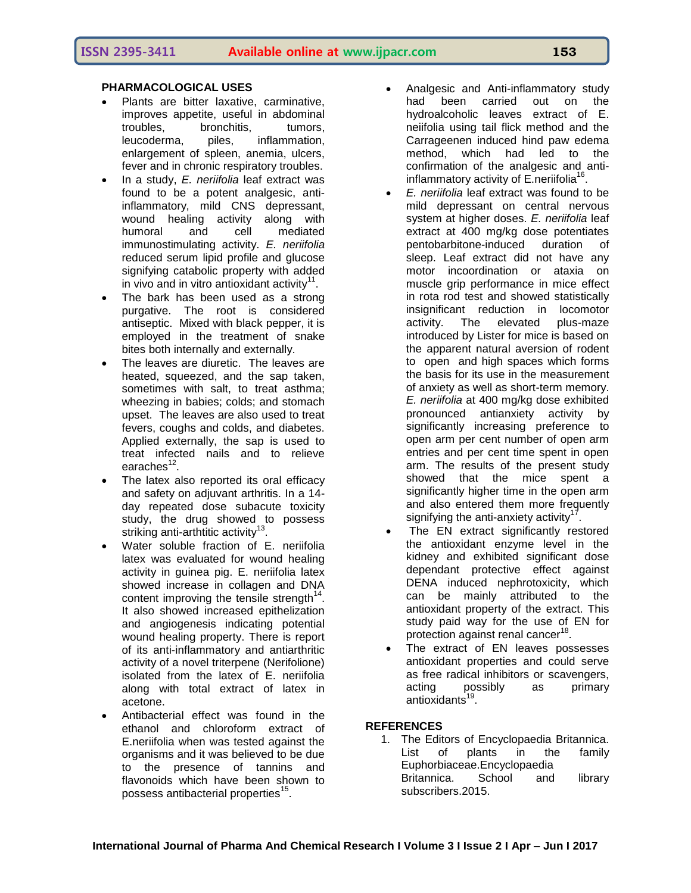# **PHARMACOLOGICAL USES**

- Plants are bitter laxative, carminative, improves appetite, useful in abdominal troubles, bronchitis, tumors, leucoderma, piles, inflammation, enlargement of spleen, anemia, ulcers, fever and in chronic respiratory troubles.
- In a study, *E. neriifolia* leaf extract was found to be a potent analgesic, antiinflammatory, mild CNS depressant, wound healing activity along with humoral and cell mediated immunostimulating activity. *E. neriifolia*  reduced serum lipid profile and glucose signifying catabolic property with added in vivo and in vitro antioxidant activity $11$ .
- The bark has been used as a strong purgative. The root is considered antiseptic. Mixed with black pepper, it is employed in the treatment of snake bites both internally and externally.
- The leaves are diuretic. The leaves are heated, squeezed, and the sap taken, sometimes with salt, to treat asthma; wheezing in babies; colds; and stomach upset. The leaves are also used to treat fevers, coughs and colds, and diabetes. Applied externally, the sap is used to treat infected nails and to relieve earaches<sup>12</sup>.
- The latex also reported its oral efficacy and safety on adjuvant arthritis. In a 14 day repeated dose subacute toxicity study, the drug showed to possess striking anti-arthtitic activity<sup>13</sup> .
- Water soluble fraction of E. neriifolia latex was evaluated for wound healing activity in guinea pig. E. neriifolia latex showed increase in collagen and DNA content improving the tensile strength $14$ . It also showed increased epithelization and angiogenesis indicating potential wound healing property. There is report of its anti-inflammatory and antiarthritic activity of a novel triterpene (Nerifolione) isolated from the latex of E. neriifolia along with total extract of latex in acetone.
- Antibacterial effect was found in the ethanol and chloroform extract of E.neriifolia when was tested against the organisms and it was believed to be due to the presence of tannins and flavonoids which have been shown to possess antibacterial properties<sup>15</sup>.
- Analgesic and Anti-inflammatory study had been carried out on the hydroalcoholic leaves extract of E. neiifolia using tail flick method and the Carrageenen induced hind paw edema method, which had led to the confirmation of the analgesic and antiinflammatory activity of E.neriifolia<sup>16</sup>.
- *E. neriifolia* leaf extract was found to be mild depressant on central nervous system at higher doses. *E. neriifolia* leaf extract at 400 mg/kg dose potentiates pentobarbitone-induced duration of sleep. Leaf extract did not have any motor incoordination or ataxia on muscle grip performance in mice effect in rota rod test and showed statistically insignificant reduction in locomotor activity. The elevated plus-maze introduced by Lister for mice is based on the apparent natural aversion of rodent to open and high spaces which forms the basis for its use in the measurement of anxiety as well as short-term memory. *E. neriifolia* at 400 mg/kg dose exhibited pronounced antianxiety activity by significantly increasing preference to open arm per cent number of open arm entries and per cent time spent in open arm. The results of the present study showed that the mice spent a significantly higher time in the open arm and also entered them more frequently signifying the anti-anxiety activity $17$ .
- The EN extract significantly restored the antioxidant enzyme level in the kidney and exhibited significant dose dependant protective effect against DENA induced nephrotoxicity, which can be mainly attributed to the antioxidant property of the extract. This study paid way for the use of EN for protection against renal cancer<sup>18</sup>.
- The extract of EN leaves possesses antioxidant properties and could serve as free radical inhibitors or scavengers, acting possibly as primary antioxidants<sup>19</sup>.

# **REFERENCES**

1. The Editors of Encyclopaedia Britannica. List of plants in the family Euphorbiaceae.Encyclopaedia Britannica. School and library subscribers.2015.